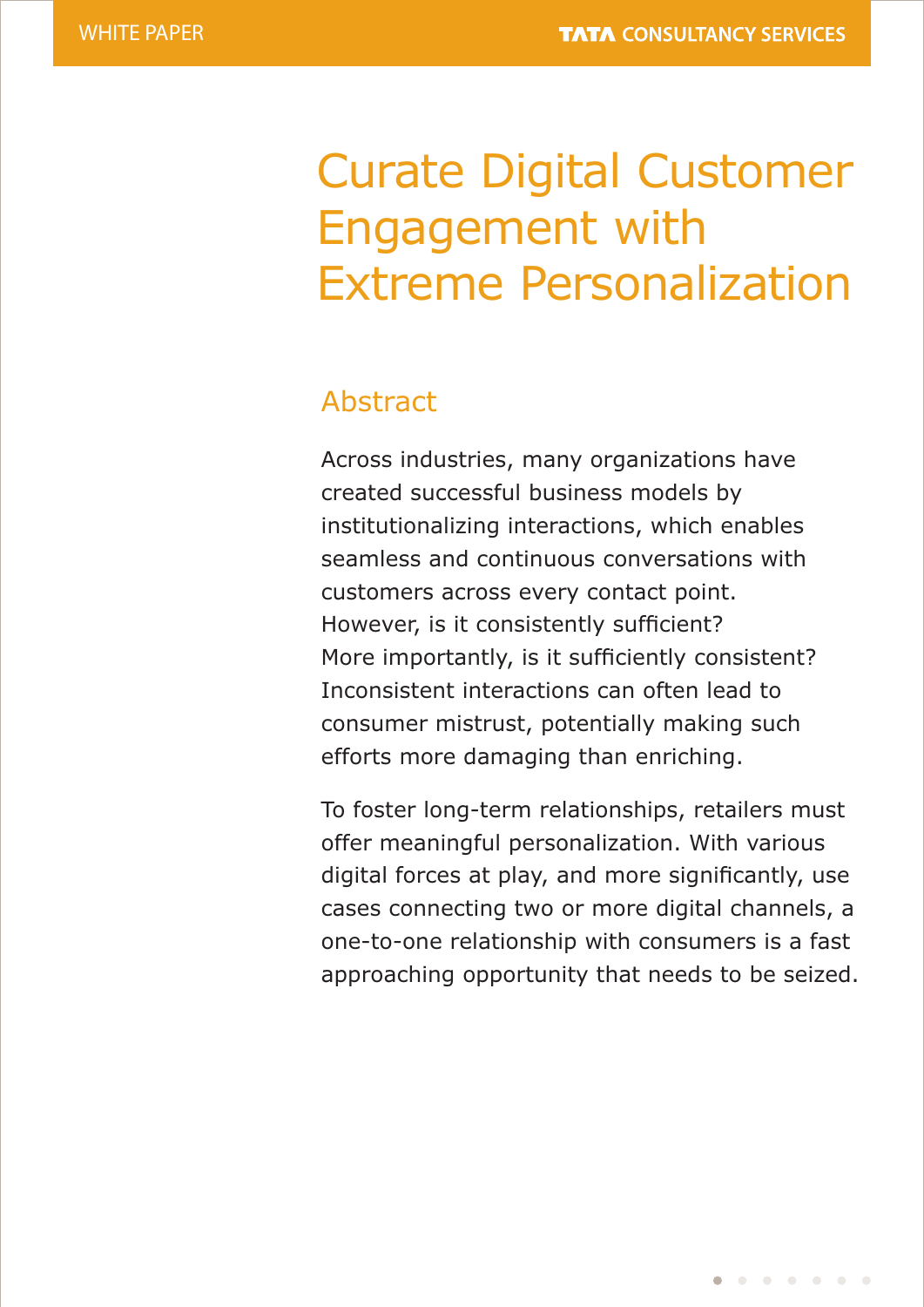# Curate Digital Customer Engagement with Extreme Personalization

# Abstract

Across industries, many organizations have created successful business models by institutionalizing interactions, which enables seamless and continuous conversations with customers across every contact point. However, is it consistently sufficient? More importantly, is it sufficiently consistent? Inconsistent interactions can often lead to consumer mistrust, potentially making such efforts more damaging than enriching.

To foster long-term relationships, retailers must offer meaningful personalization. With various digital forces at play, and more significantly, use cases connecting two or more digital channels, a one-to-one relationship with consumers is a fast approaching opportunity that needs to be seized.

 $\begin{array}{cccccccccccccccccc} \bullet & \circ & \circ & \bullet & \bullet & \bullet & \bullet & \bullet & \bullet & \bullet \end{array}$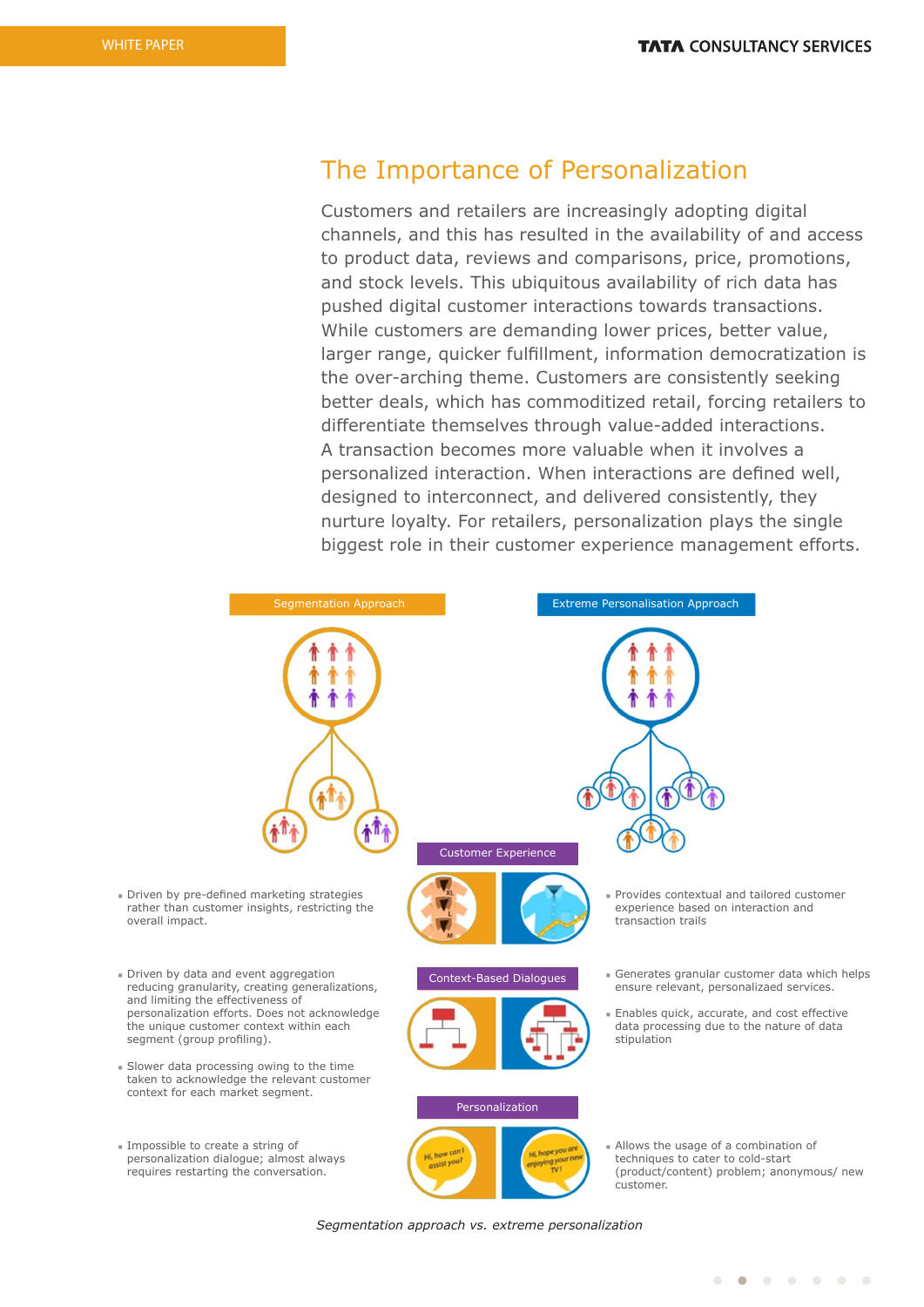## The Importance of Personalization

Customers and retailers are increasingly adopting digital channels, and this has resulted in the availability of and access to product data, reviews and comparisons, price, promotions, and stock levels. This ubiquitous availability of rich data has pushed digital customer interactions towards transactions. While customers are demanding lower prices, better value, larger range, quicker fulfillment, information democratization is the over-arching theme. Customers are consistently seeking better deals, which has commoditized retail, forcing retailers to differentiate themselves through value-added interactions. A transaction becomes more valuable when it involves a personalized interaction. When interactions are defined well, designed to interconnect, and delivered consistently, they nurture loyalty. For retailers, personalization plays the single biggest role in their customer experience management efforts.



*Segmentation approach vs. extreme personalization*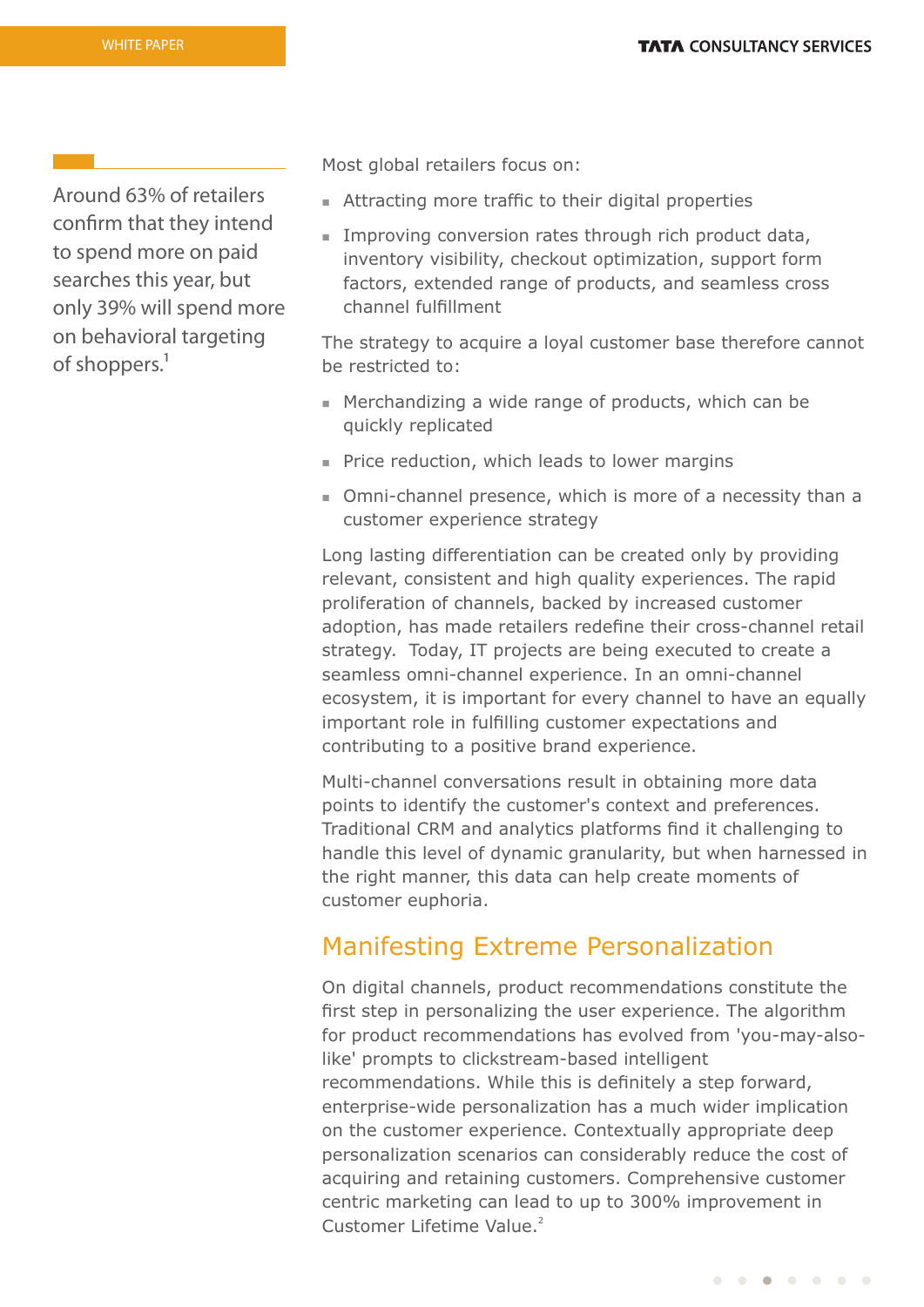Around 63% of retailers confirm that they intend to spend more on paid searches this year, but only 39% will spend more on behavioral targeting of shoppers.<sup>1</sup>

Most global retailers focus on:

- $\blacksquare$  Attracting more traffic to their digital properties
- $\blacksquare$  Improving conversion rates through rich product data, inventory visibility, checkout optimization, support form factors, extended range of products, and seamless cross channel fulfillment

The strategy to acquire a loyal customer base therefore cannot be restricted to:

- $\blacksquare$  Merchandizing a wide range of products, which can be quickly replicated
- $\blacksquare$  Price reduction, which leads to lower margins
- Omni-channel presence, which is more of a necessity than a customer experience strategy

Long lasting differentiation can be created only by providing relevant, consistent and high quality experiences. The rapid proliferation of channels, backed by increased customer adoption, has made retailers redefine their cross-channel retail strategy. Today, IT projects are being executed to create a seamless omni-channel experience. In an omni-channel ecosystem, it is important for every channel to have an equally important role in fulfilling customer expectations and contributing to a positive brand experience.

Multi-channel conversations result in obtaining more data points to identify the customer's context and preferences. Traditional CRM and analytics platforms find it challenging to handle this level of dynamic granularity, but when harnessed in the right manner, this data can help create moments of customer euphoria.

## Manifesting Extreme Personalization

On digital channels, product recommendations constitute the first step in personalizing the user experience. The algorithm for product recommendations has evolved from 'you-may-alsolike' prompts to clickstream-based intelligent recommendations. While this is definitely a step forward, enterprise-wide personalization has a much wider implication on the customer experience. Contextually appropriate deep personalization scenarios can considerably reduce the cost of acquiring and retaining customers. Comprehensive customer centric marketing can lead to up to 300% improvement in <sup>2</sup> Customer Lifetime Value.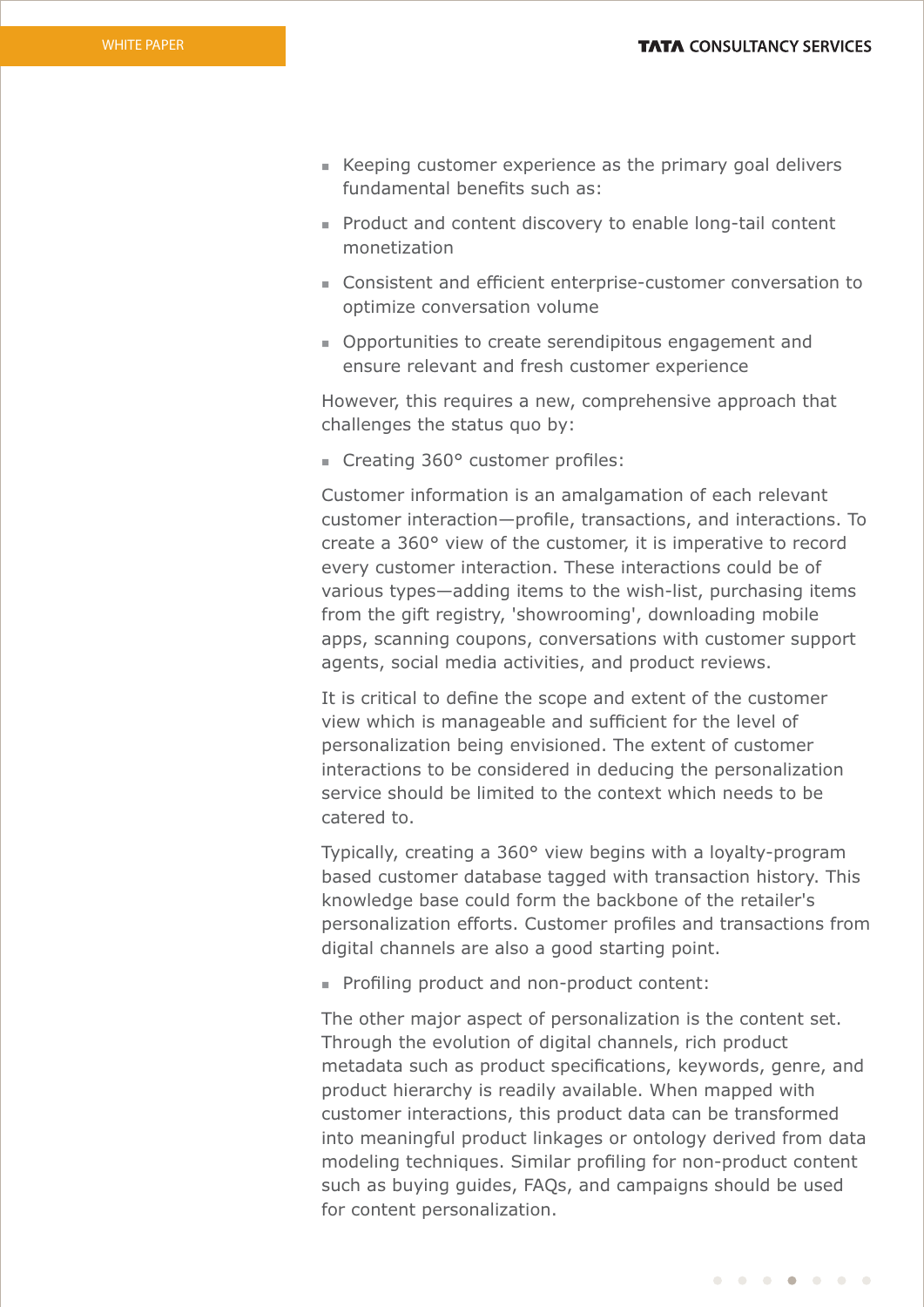- **EXECT** Keeping customer experience as the primary goal delivers fundamental benefits such as:
- Product and content discovery to enable long-tail content monetization
- Consistent and efficient enterprise-customer conversation to optimize conversation volume
- Opportunities to create serendipitous engagement and ensure relevant and fresh customer experience

However, this requires a new, comprehensive approach that challenges the status quo by:

 $\blacksquare$  Creating 360° customer profiles:

Customer information is an amalgamation of each relevant customer interaction—profile, transactions, and interactions. To create a 360° view of the customer, it is imperative to record every customer interaction. These interactions could be of various types—adding items to the wish-list, purchasing items from the gift registry, 'showrooming', downloading mobile apps, scanning coupons, conversations with customer support agents, social media activities, and product reviews.

It is critical to define the scope and extent of the customer view which is manageable and sufficient for the level of personalization being envisioned. The extent of customer interactions to be considered in deducing the personalization service should be limited to the context which needs to be catered to.

Typically, creating a 360° view begins with a loyalty-program based customer database tagged with transaction history. This knowledge base could form the backbone of the retailer's personalization efforts. Customer profiles and transactions from digital channels are also a good starting point.

• Profiling product and non-product content:

The other major aspect of personalization is the content set. Through the evolution of digital channels, rich product metadata such as product specifications, keywords, genre, and product hierarchy is readily available. When mapped with customer interactions, this product data can be transformed into meaningful product linkages or ontology derived from data modeling techniques. Similar profiling for non-product content such as buying guides, FAQs, and campaigns should be used for content personalization.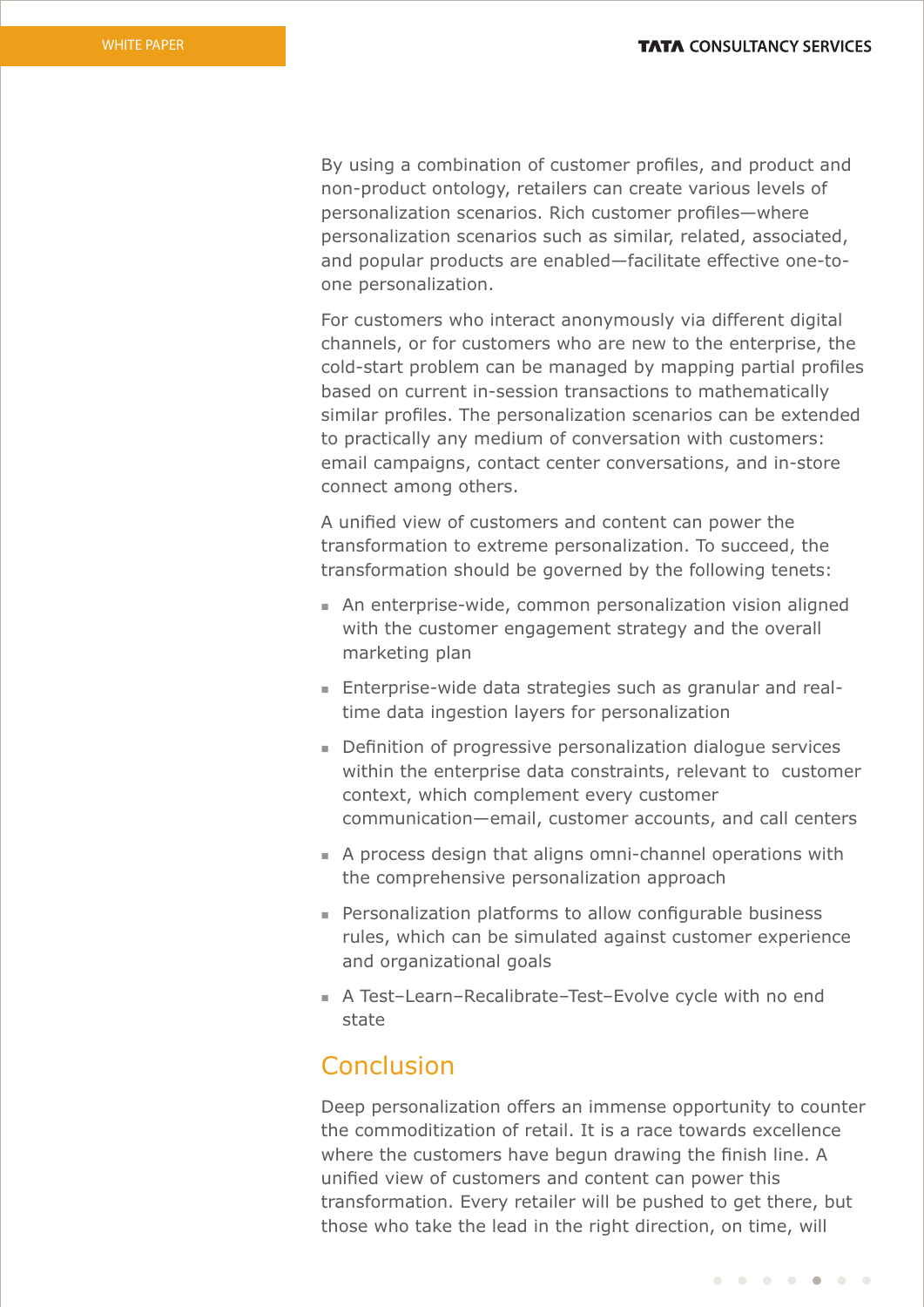By using a combination of customer profiles, and product and non-product ontology, retailers can create various levels of personalization scenarios. Rich customer profiles-where personalization scenarios such as similar, related, associated, and popular products are enabled—facilitate effective one-toone personalization.

For customers who interact anonymously via different digital channels, or for customers who are new to the enterprise, the cold-start problem can be managed by mapping partial profiles based on current in-session transactions to mathematically similar profiles. The personalization scenarios can be extended to practically any medium of conversation with customers: email campaigns, contact center conversations, and in-store connect among others.

A unified view of customers and content can power the transformation to extreme personalization. To succeed, the transformation should be governed by the following tenets:

- n An enterprise-wide, common personalization vision aligned with the customer engagement strategy and the overall marketing plan
- Enterprise-wide data strategies such as granular and realtime data ingestion layers for personalization
- Definition of progressive personalization dialogue services within the enterprise data constraints, relevant to customer context, which complement every customer communication—email, customer accounts, and call centers
- <sup>n</sup> A process design that aligns omni-channel operations with the comprehensive personalization approach
- n Personalization platforms to allow configurable business rules, which can be simulated against customer experience and organizational goals
- A Test-Learn-Recalibrate–Test-Evolve cycle with no end state

## Conclusion

Deep personalization offers an immense opportunity to counter the commoditization of retail. It is a race towards excellence where the customers have begun drawing the finish line. A unified view of customers and content can power this transformation. Every retailer will be pushed to get there, but those who take the lead in the right direction, on time, will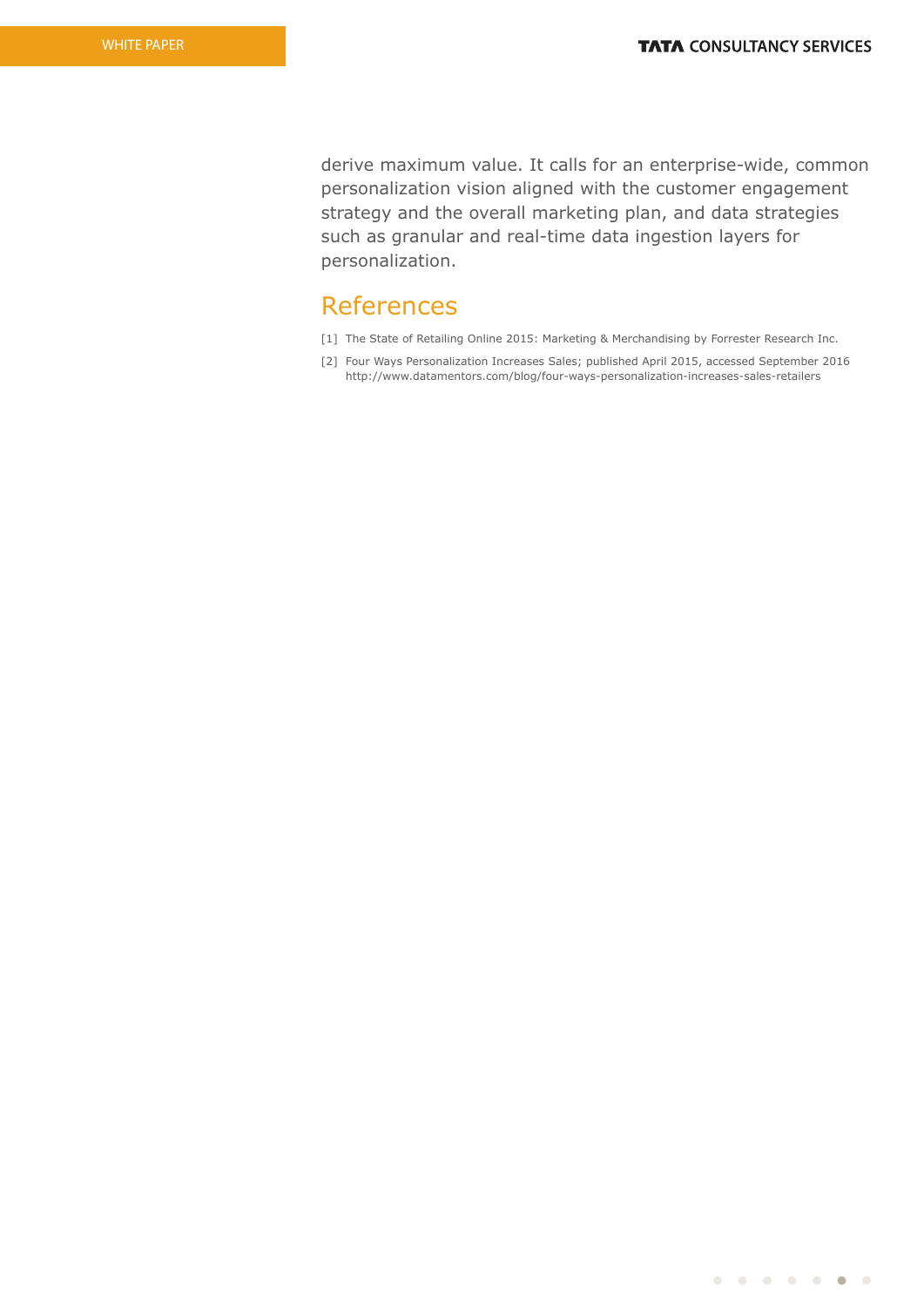derive maximum value. It calls for an enterprise-wide, common personalization vision aligned with the customer engagement strategy and the overall marketing plan, and data strategies such as granular and real-time data ingestion layers for personalization.

## References

- [1] The State of Retailing Online 2015: Marketing & Merchandising by Forrester Research Inc.
- [2] Four Ways Personalization Increases Sales; published April 2015, accessed September 2016 http://www.datamentors.com/blog/four-ways-personalization-increases-sales-retailers